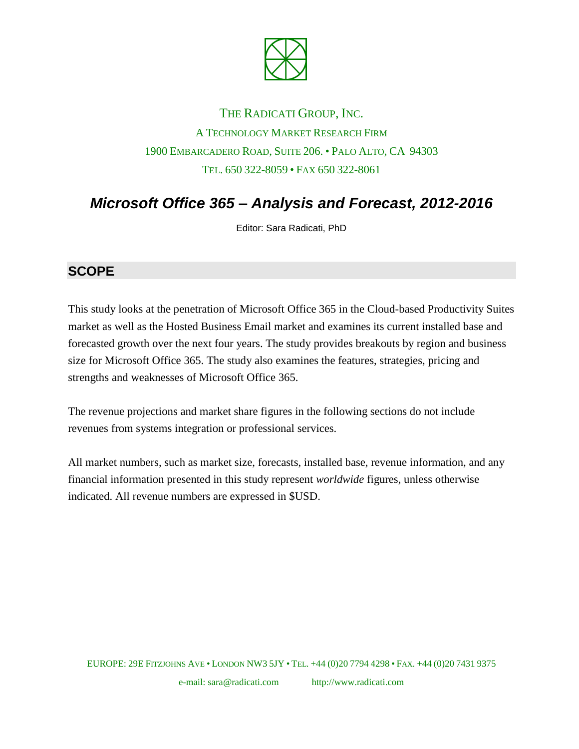

## THE RADICATI GROUP, INC. A TECHNOLOGY MARKET RESEARCH FIRM 1900 EMBARCADERO ROAD, SUITE 206. • PALO ALTO, CA 94303 TEL. 650 322-8059 • FAX 650 322-8061

# *Microsoft Office 365 – Analysis and Forecast, 2012-2016*

Editor: Sara Radicati, PhD

#### **SCOPE**

This study looks at the penetration of Microsoft Office 365 in the Cloud-based Productivity Suites market as well as the Hosted Business Email market and examines its current installed base and forecasted growth over the next four years. The study provides breakouts by region and business size for Microsoft Office 365. The study also examines the features, strategies, pricing and strengths and weaknesses of Microsoft Office 365.

The revenue projections and market share figures in the following sections do not include revenues from systems integration or professional services.

All market numbers, such as market size, forecasts, installed base, revenue information, and any financial information presented in this study represent *worldwide* figures, unless otherwise indicated. All revenue numbers are expressed in \$USD.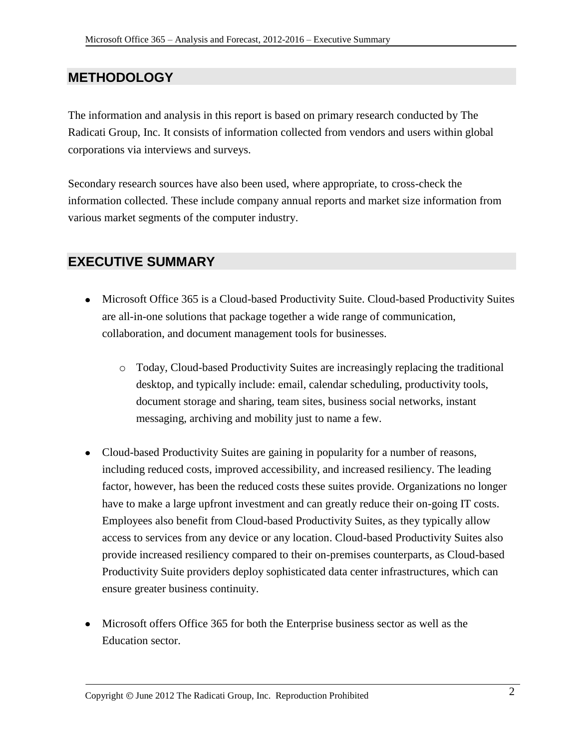#### **METHODOLOGY**

The information and analysis in this report is based on primary research conducted by The Radicati Group, Inc. It consists of information collected from vendors and users within global corporations via interviews and surveys.

Secondary research sources have also been used, where appropriate, to cross-check the information collected. These include company annual reports and market size information from various market segments of the computer industry.

#### **EXECUTIVE SUMMARY**

- Microsoft Office 365 is a Cloud-based Productivity Suite. Cloud-based Productivity Suites are all-in-one solutions that package together a wide range of communication, collaboration, and document management tools for businesses.
	- o Today, Cloud-based Productivity Suites are increasingly replacing the traditional desktop, and typically include: email, calendar scheduling, productivity tools, document storage and sharing, team sites, business social networks, instant messaging, archiving and mobility just to name a few.
- Cloud-based Productivity Suites are gaining in popularity for a number of reasons, including reduced costs, improved accessibility, and increased resiliency. The leading factor, however, has been the reduced costs these suites provide. Organizations no longer have to make a large upfront investment and can greatly reduce their on-going IT costs. Employees also benefit from Cloud-based Productivity Suites, as they typically allow access to services from any device or any location. Cloud-based Productivity Suites also provide increased resiliency compared to their on-premises counterparts, as Cloud-based Productivity Suite providers deploy sophisticated data center infrastructures, which can ensure greater business continuity.
- Microsoft offers Office 365 for both the Enterprise business sector as well as the Education sector.